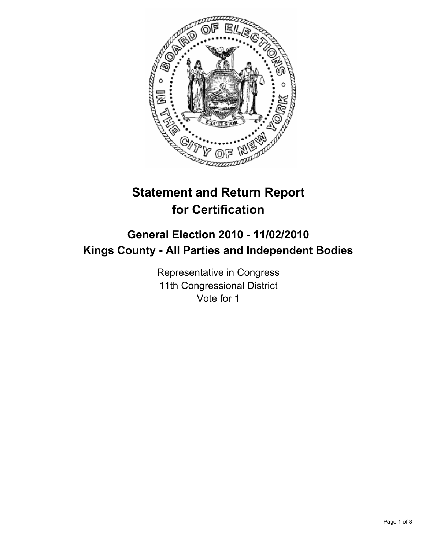

# **Statement and Return Report for Certification**

## **General Election 2010 - 11/02/2010 Kings County - All Parties and Independent Bodies**

Representative in Congress 11th Congressional District Vote for 1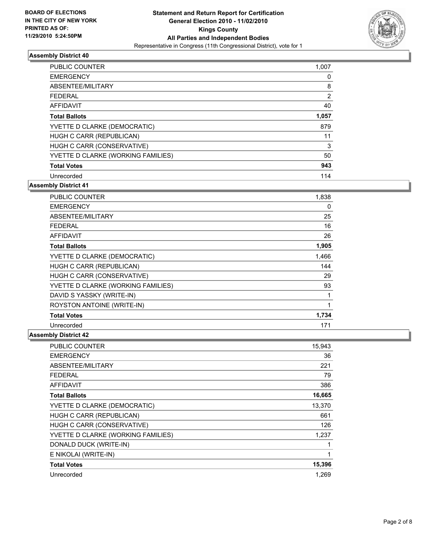

| PUBLIC COUNTER                     | 1,007 |
|------------------------------------|-------|
| <b>EMERGENCY</b>                   | 0     |
| ABSENTEE/MILITARY                  | 8     |
| <b>FEDERAL</b>                     | 2     |
| AFFIDAVIT                          | 40    |
| <b>Total Ballots</b>               | 1,057 |
| YVETTE D CLARKE (DEMOCRATIC)       | 879   |
| HUGH C CARR (REPUBLICAN)           | 11    |
| HUGH C CARR (CONSERVATIVE)         | 3     |
| YVETTE D CLARKE (WORKING FAMILIES) | 50    |
| <b>Total Votes</b>                 | 943   |
| Unrecorded                         | 114   |

**Assembly District 41**

| <b>PUBLIC COUNTER</b>              | 1,838 |
|------------------------------------|-------|
| <b>EMERGENCY</b>                   | 0     |
| ABSENTEE/MILITARY                  | 25    |
| <b>FEDERAL</b>                     | 16    |
| <b>AFFIDAVIT</b>                   | 26    |
| <b>Total Ballots</b>               | 1,905 |
| YVETTE D CLARKE (DEMOCRATIC)       | 1,466 |
| HUGH C CARR (REPUBLICAN)           | 144   |
| HUGH C CARR (CONSERVATIVE)         | 29    |
| YVETTE D CLARKE (WORKING FAMILIES) | 93    |
| DAVID S YASSKY (WRITE-IN)          | 1     |
| ROYSTON ANTOINE (WRITE-IN)         | 1     |
| <b>Total Votes</b>                 | 1,734 |
| Unrecorded                         | 171   |

| <b>PUBLIC COUNTER</b>              | 15,943 |
|------------------------------------|--------|
| <b>EMERGENCY</b>                   | 36     |
| ABSENTEE/MILITARY                  | 221    |
| <b>FEDERAL</b>                     | 79     |
| <b>AFFIDAVIT</b>                   | 386    |
| <b>Total Ballots</b>               | 16,665 |
| YVETTE D CLARKE (DEMOCRATIC)       | 13,370 |
| HUGH C CARR (REPUBLICAN)           | 661    |
| HUGH C CARR (CONSERVATIVE)         | 126    |
| YVETTE D CLARKE (WORKING FAMILIES) | 1,237  |
| DONALD DUCK (WRITE-IN)             |        |
| E NIKOLAI (WRITE-IN)               | 1      |
| <b>Total Votes</b>                 | 15,396 |
| Unrecorded                         | 1.269  |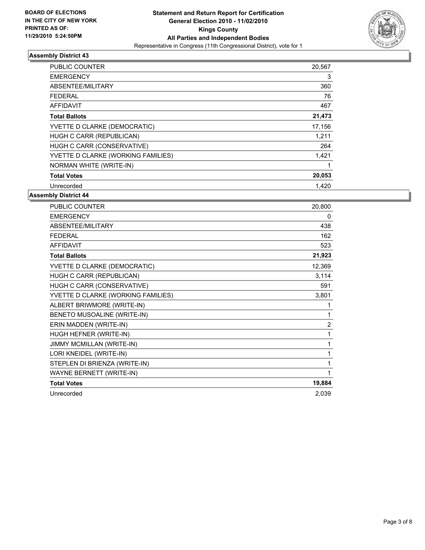

| <b>PUBLIC COUNTER</b>              | 20,567 |
|------------------------------------|--------|
| <b>EMERGENCY</b>                   | 3      |
| ABSENTEE/MILITARY                  | 360    |
| <b>FEDERAL</b>                     | 76     |
| AFFIDAVIT                          | 467    |
| <b>Total Ballots</b>               | 21,473 |
| YVETTE D CLARKE (DEMOCRATIC)       | 17,156 |
| HUGH C CARR (REPUBLICAN)           | 1,211  |
| HUGH C CARR (CONSERVATIVE)         | 264    |
| YVETTE D CLARKE (WORKING FAMILIES) | 1,421  |
| <b>NORMAN WHITE (WRITE-IN)</b>     |        |
| <b>Total Votes</b>                 | 20,053 |
| Unrecorded                         | 1,420  |

| PUBLIC COUNTER                     | 20,800         |
|------------------------------------|----------------|
| <b>EMERGENCY</b>                   | 0              |
| ABSENTEE/MILITARY                  | 438            |
| <b>FEDERAL</b>                     | 162            |
| <b>AFFIDAVIT</b>                   | 523            |
| <b>Total Ballots</b>               | 21,923         |
| YVETTE D CLARKE (DEMOCRATIC)       | 12,369         |
| HUGH C CARR (REPUBLICAN)           | 3,114          |
| HUGH C CARR (CONSERVATIVE)         | 591            |
| YVETTE D CLARKE (WORKING FAMILIES) | 3,801          |
| ALBERT BRIWMORE (WRITE-IN)         | 1              |
| BENETO MUSOALINE (WRITE-IN)        | 1              |
| ERIN MADDEN (WRITE-IN)             | $\overline{2}$ |
| HUGH HEFNER (WRITE-IN)             | 1              |
| JIMMY MCMILLAN (WRITE-IN)          | 1              |
| LORI KNEIDEL (WRITE-IN)            | 1              |
| STEPLEN DI BRIENZA (WRITE-IN)      | 1              |
| <b>WAYNE BERNETT (WRITE-IN)</b>    | 1              |
| <b>Total Votes</b>                 | 19,884         |
| Unrecorded                         | 2,039          |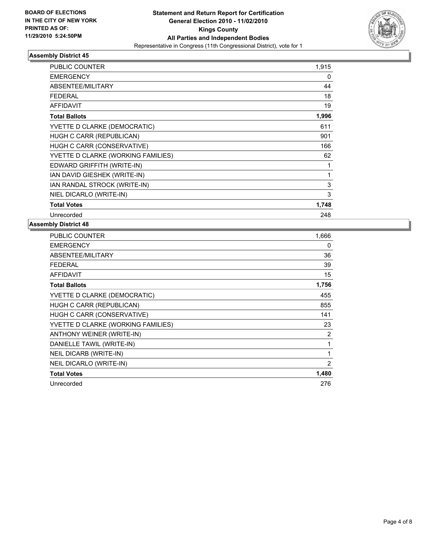

| <b>PUBLIC COUNTER</b>              | 1,915 |
|------------------------------------|-------|
| <b>EMERGENCY</b>                   | 0     |
| ABSENTEE/MILITARY                  | 44    |
| <b>FEDERAL</b>                     | 18    |
| <b>AFFIDAVIT</b>                   | 19    |
| <b>Total Ballots</b>               | 1,996 |
| YVETTE D CLARKE (DEMOCRATIC)       | 611   |
| HUGH C CARR (REPUBLICAN)           | 901   |
| HUGH C CARR (CONSERVATIVE)         | 166   |
| YVETTE D CLARKE (WORKING FAMILIES) | 62    |
| EDWARD GRIFFITH (WRITE-IN)         | 1     |
| IAN DAVID GIESHEK (WRITE-IN)       | 1     |
| IAN RANDAL STROCK (WRITE-IN)       | 3     |
| NIEL DICARLO (WRITE-IN)            | 3     |
| <b>Total Votes</b>                 | 1,748 |
| Unrecorded                         | 248   |

| PUBLIC COUNTER                     | 1,666 |
|------------------------------------|-------|
| <b>EMERGENCY</b>                   | 0     |
| <b>ABSENTEE/MILITARY</b>           | 36    |
| <b>FEDERAL</b>                     | 39    |
| <b>AFFIDAVIT</b>                   | 15    |
| <b>Total Ballots</b>               | 1,756 |
| YVETTE D CLARKE (DEMOCRATIC)       | 455   |
| HUGH C CARR (REPUBLICAN)           | 855   |
| HUGH C CARR (CONSERVATIVE)         | 141   |
| YVETTE D CLARKE (WORKING FAMILIES) | 23    |
| ANTHONY WEINER (WRITE-IN)          | 2     |
| DANIELLE TAWIL (WRITE-IN)          | 1     |
| <b>NEIL DICARB (WRITE-IN)</b>      | 1     |
| NEIL DICARLO (WRITE-IN)            | 2     |
| <b>Total Votes</b>                 | 1,480 |
| Unrecorded                         | 276   |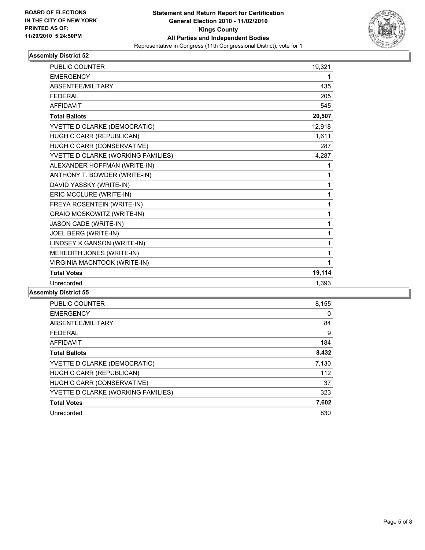

| <b>PUBLIC COUNTER</b>              | 19,321 |
|------------------------------------|--------|
| <b>EMERGENCY</b>                   | 1      |
| <b>ABSENTEE/MILITARY</b>           | 435    |
| <b>FEDERAL</b>                     | 205    |
| <b>AFFIDAVIT</b>                   | 545    |
| <b>Total Ballots</b>               | 20,507 |
| YVETTE D CLARKE (DEMOCRATIC)       | 12,918 |
| HUGH C CARR (REPUBLICAN)           | 1,611  |
| HUGH C CARR (CONSERVATIVE)         | 287    |
| YVETTE D CLARKE (WORKING FAMILIES) | 4,287  |
| ALEXANDER HOFFMAN (WRITE-IN)       | 1      |
| ANTHONY T. BOWDER (WRITE-IN)       | 1      |
| DAVID YASSKY (WRITE-IN)            | 1      |
| ERIC MCCLURE (WRITE-IN)            | 1      |
| FREYA ROSENTEIN (WRITE-IN)         | 1      |
| GRAIO MOSKOWITZ (WRITE-IN)         | 1      |
| JASON CADE (WRITE-IN)              | 1      |
| JOEL BERG (WRITE-IN)               | 1      |
| LINDSEY K GANSON (WRITE-IN)        | 1      |
| MEREDITH JONES (WRITE-IN)          | 1      |
| VIRGINIA MACNTOOK (WRITE-IN)       | 1      |
| <b>Total Votes</b>                 | 19,114 |
| Unrecorded                         | 1.393  |

| <b>PUBLIC COUNTER</b>              | 8,155 |
|------------------------------------|-------|
| <b>EMERGENCY</b>                   | 0     |
| ABSENTEE/MILITARY                  | 84    |
| <b>FEDERAL</b>                     | 9     |
| AFFIDAVIT                          | 184   |
| <b>Total Ballots</b>               | 8,432 |
| YVETTE D CLARKE (DEMOCRATIC)       | 7,130 |
| HUGH C CARR (REPUBLICAN)           | 112   |
| HUGH C CARR (CONSERVATIVE)         | 37    |
| YVETTE D CLARKE (WORKING FAMILIES) | 323   |
| <b>Total Votes</b>                 | 7,602 |
| Unrecorded                         | 830   |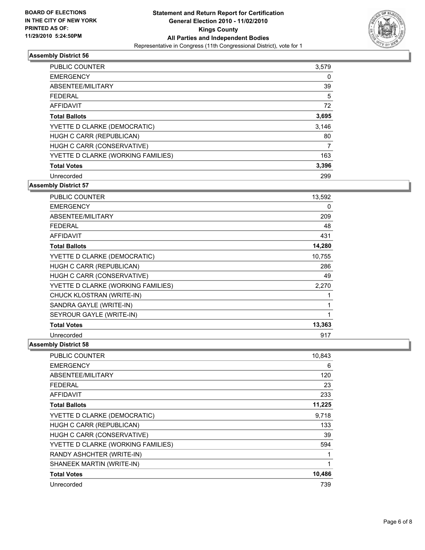

| <b>PUBLIC COUNTER</b>              | 3,579 |
|------------------------------------|-------|
| <b>EMERGENCY</b>                   | 0     |
| ABSENTEE/MILITARY                  | 39    |
| <b>FEDERAL</b>                     | 5     |
| <b>AFFIDAVIT</b>                   | 72    |
| <b>Total Ballots</b>               | 3,695 |
| YVETTE D CLARKE (DEMOCRATIC)       | 3,146 |
| HUGH C CARR (REPUBLICAN)           | 80    |
| HUGH C CARR (CONSERVATIVE)         | 7     |
| YVETTE D CLARKE (WORKING FAMILIES) | 163   |
| <b>Total Votes</b>                 | 3,396 |
| Unrecorded                         | 299   |

**Assembly District 57**

| <b>PUBLIC COUNTER</b>              | 13,592 |
|------------------------------------|--------|
| <b>EMERGENCY</b>                   | 0      |
| ABSENTEE/MILITARY                  | 209    |
| <b>FEDERAL</b>                     | 48     |
| AFFIDAVIT                          | 431    |
| <b>Total Ballots</b>               | 14,280 |
| YVETTE D CLARKE (DEMOCRATIC)       | 10,755 |
| HUGH C CARR (REPUBLICAN)           | 286    |
| HUGH C CARR (CONSERVATIVE)         | 49     |
| YVETTE D CLARKE (WORKING FAMILIES) | 2,270  |
| CHUCK KLOSTRAN (WRITE-IN)          | 1      |
| SANDRA GAYLE (WRITE-IN)            | 1      |
| SEYROUR GAYLE (WRITE-IN)           | 1      |
| <b>Total Votes</b>                 | 13,363 |
| Unrecorded                         | 917    |

| <b>PUBLIC COUNTER</b>              | 10,843 |
|------------------------------------|--------|
| <b>EMERGENCY</b>                   | 6      |
| ABSENTEE/MILITARY                  | 120    |
| FEDERAL                            | 23     |
| <b>AFFIDAVIT</b>                   | 233    |
| <b>Total Ballots</b>               | 11,225 |
| YVETTE D CLARKE (DEMOCRATIC)       | 9,718  |
| HUGH C CARR (REPUBLICAN)           | 133    |
| HUGH C CARR (CONSERVATIVE)         | 39     |
| YVETTE D CLARKE (WORKING FAMILIES) | 594    |
| RANDY ASHCHTER (WRITE-IN)          | 1      |
| SHANEEK MARTIN (WRITE-IN)          | 1      |
| <b>Total Votes</b>                 | 10,486 |
| Unrecorded                         | 739    |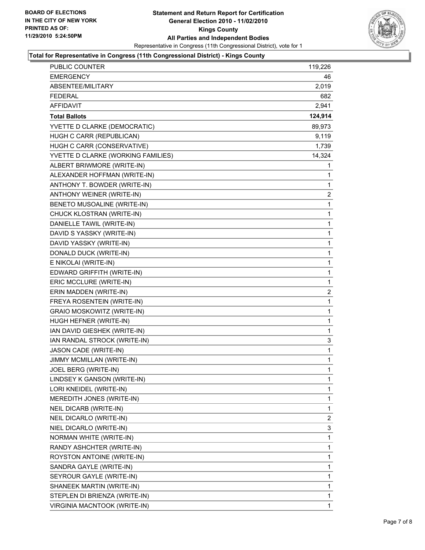

#### **Total for Representative in Congress (11th Congressional District) - Kings County**

| <b>PUBLIC COUNTER</b>              | 119,226      |
|------------------------------------|--------------|
| <b>EMERGENCY</b>                   | 46           |
| ABSENTEE/MILITARY                  | 2,019        |
| <b>FEDERAL</b>                     | 682          |
| <b>AFFIDAVIT</b>                   | 2,941        |
| <b>Total Ballots</b>               | 124,914      |
| YVETTE D CLARKE (DEMOCRATIC)       | 89,973       |
| HUGH C CARR (REPUBLICAN)           | 9,119        |
| HUGH C CARR (CONSERVATIVE)         | 1,739        |
| YVETTE D CLARKE (WORKING FAMILIES) | 14,324       |
| ALBERT BRIWMORE (WRITE-IN)         | 1            |
| ALEXANDER HOFFMAN (WRITE-IN)       | 1            |
| ANTHONY T. BOWDER (WRITE-IN)       | 1            |
| ANTHONY WEINER (WRITE-IN)          | 2            |
| BENETO MUSOALINE (WRITE-IN)        | 1            |
| CHUCK KLOSTRAN (WRITE-IN)          | 1            |
| DANIELLE TAWIL (WRITE-IN)          | 1            |
| DAVID S YASSKY (WRITE-IN)          | 1            |
| DAVID YASSKY (WRITE-IN)            | 1            |
| DONALD DUCK (WRITE-IN)             | 1            |
| E NIKOLAI (WRITE-IN)               | $\mathbf{1}$ |
| EDWARD GRIFFITH (WRITE-IN)         | 1            |
| ERIC MCCLURE (WRITE-IN)            | 1            |
| ERIN MADDEN (WRITE-IN)             | 2            |
| FREYA ROSENTEIN (WRITE-IN)         | 1            |
| GRAIO MOSKOWITZ (WRITE-IN)         | 1            |
| HUGH HEFNER (WRITE-IN)             | 1            |
| IAN DAVID GIESHEK (WRITE-IN)       | 1            |
| IAN RANDAL STROCK (WRITE-IN)       | 3            |
| JASON CADE (WRITE-IN)              | 1            |
| JIMMY MCMILLAN (WRITE-IN)          | 1            |
| JOEL BERG (WRITE-IN)               | 1            |
| LINDSEY K GANSON (WRITE-IN)        | 1            |
| LORI KNEIDEL (WRITE-IN)            | 1            |
| MEREDITH JONES (WRITE-IN)          | 1            |
| NEIL DICARB (WRITE-IN)             | 1            |
| NEIL DICARLO (WRITE-IN)            | 2            |
| NIEL DICARLO (WRITE-IN)            | 3            |
| NORMAN WHITE (WRITE-IN)            | 1            |
| RANDY ASHCHTER (WRITE-IN)          | 1            |
| ROYSTON ANTOINE (WRITE-IN)         | 1            |
| SANDRA GAYLE (WRITE-IN)            | 1            |
| SEYROUR GAYLE (WRITE-IN)           | 1            |
| SHANEEK MARTIN (WRITE-IN)          | 1            |
| STEPLEN DI BRIENZA (WRITE-IN)      | 1            |
| VIRGINIA MACNTOOK (WRITE-IN)       | 1            |